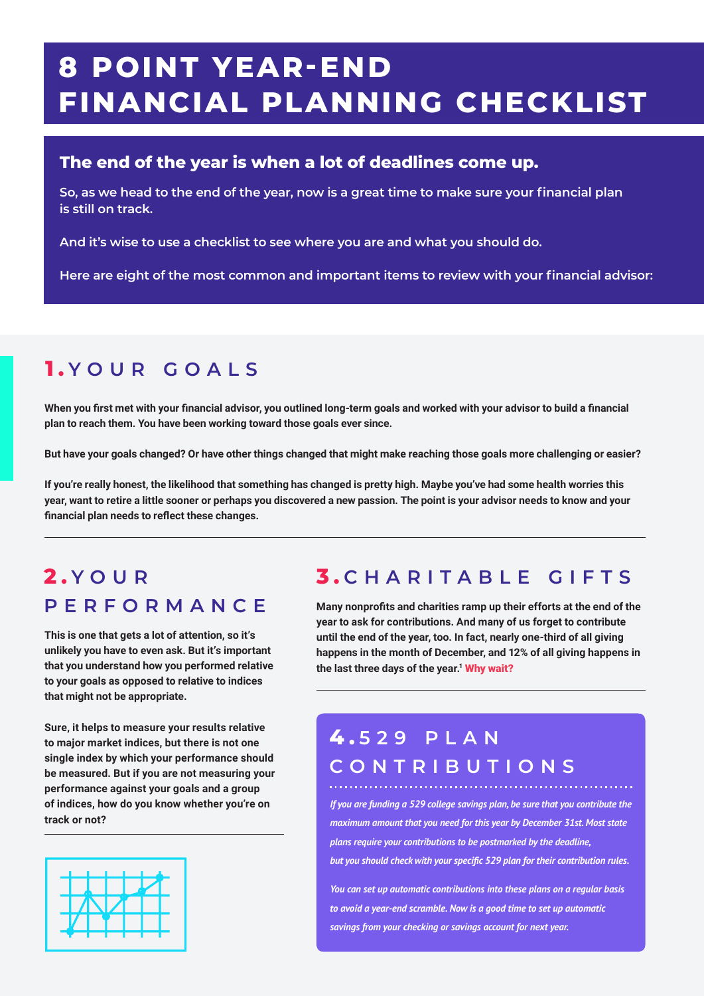# **8 POINT YEAR-END FINANCIAL PLANNING CHECKLIST**

#### **The end of the year is when a lot of deadlines come up.**

**So, as we head to the end of the year, now is a great time to make sure your financial plan is still on track.**

**And it's wise to use a checklist to see where you are and what you should do.**

**Here are eight of the most common and important items to review with your financial advisor:**

## **1 . YOUR GOALS**

**When you first met with your financial advisor, you outlined long-term goals and worked with your advisor to build a financial plan to reach them. You have been working toward those goals ever since.**

**But have your goals changed? Or have other things changed that might make reaching those goals more challenging or easier?**

**If you're really honest, the likelihood that something has changed is pretty high. Maybe you've had some health worries this year, want to retire a little sooner or perhaps you discovered a new passion. The point is your advisor needs to know and your financial plan needs to reflect these changes.**

#### **2 . YOUR PERFORMANCE**

**This is one that gets a lot of attention, so it's unlikely you have to even ask. But it's important that you understand how you performed relative to your goals as opposed to relative to indices that might not be appropriate.**

**Sure, it helps to measure your results relative to major market indices, but there is not one single index by which your performance should be measured. But if you are not measuring your performance against your goals and a group of indices, how do you know whether you're on track or not?**



#### **3 . CHARITABLE GIFTS**

**Many nonprofits and charities ramp up their efforts at the end of the year to ask for contributions. And many of us forget to contribute until the end of the year, too. In fact, nearly one-third of all giving happens in the month of December, and 12% of all giving happens in**  the last three days of the year.<sup>1</sup> Why wait?

## **4 . 529 PLAN CONTRIBUTIONS**

*If you are funding a 529 college savings plan, be sure that you contribute the maximum amount that you need for this year by December 31st. Most state plans require your contributions to be postmarked by the deadline, but you should check with your specific 529 plan for their contribution rules.*

*You can set up automatic contributions into these plans on a regular basis to avoid a year-end scramble. Now is a good time to set up automatic savings from your checking or savings account for next year.*